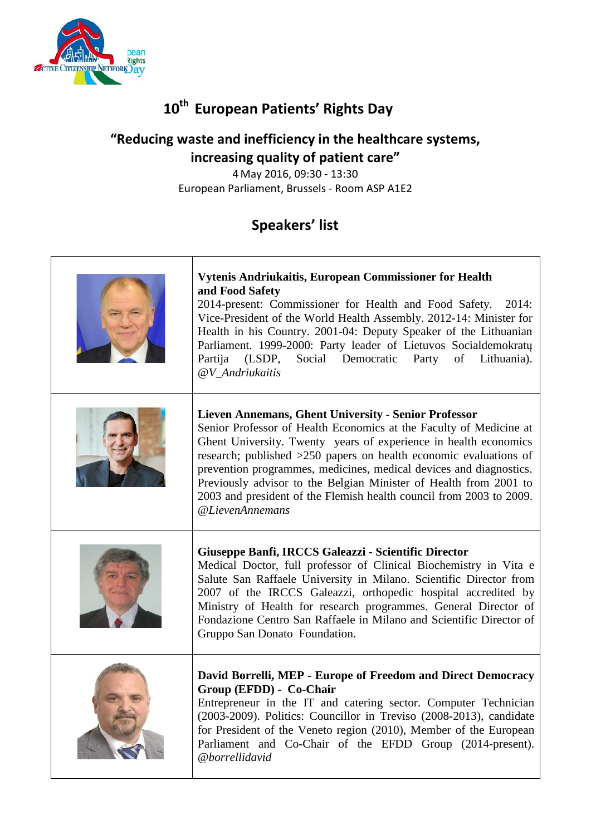

# **10th European Patients' Rights Day**

### **"Reducing waste and inefficiency in the healthcare systems, increasing quality of patient care"**

4 May 2016, 09:30 - 13:30 European Parliament, Brussels - Room ASP A1E2

## **Speakers' list**

| Vytenis Andriukaitis, European Commissioner for Health<br>and Food Safety<br>2014-present: Commissioner for Health and Food Safety.<br>2014:<br>Vice-President of the World Health Assembly. 2012-14: Minister for<br>Health in his Country. 2001-04: Deputy Speaker of the Lithuanian<br>Parliament. 1999-2000: Party leader of Lietuvos Socialdemokratų<br>Partija<br>(LSDP,<br>Social Democratic Party<br>of<br>Lithuania).<br>@V_Andriukaitis                                                               |
|-----------------------------------------------------------------------------------------------------------------------------------------------------------------------------------------------------------------------------------------------------------------------------------------------------------------------------------------------------------------------------------------------------------------------------------------------------------------------------------------------------------------|
| <b>Lieven Annemans, Ghent University - Senior Professor</b><br>Senior Professor of Health Economics at the Faculty of Medicine at<br>Ghent University. Twenty years of experience in health economics<br>research; published >250 papers on health economic evaluations of<br>prevention programmes, medicines, medical devices and diagnostics.<br>Previously advisor to the Belgian Minister of Health from 2001 to<br>2003 and president of the Flemish health council from 2003 to 2009.<br>@LievenAnnemans |
| Giuseppe Banfi, IRCCS Galeazzi - Scientific Director<br>Medical Doctor, full professor of Clinical Biochemistry in Vita e<br>Salute San Raffaele University in Milano. Scientific Director from<br>2007 of the IRCCS Galeazzi, orthopedic hospital accredited by<br>Ministry of Health for research programmes. General Director of<br>Fondazione Centro San Raffaele in Milano and Scientific Director of<br>Gruppo San Donato Foundation.                                                                     |
| David Borrelli, MEP - Europe of Freedom and Direct Democracy<br>Group (EFDD) - Co-Chair<br>Entrepreneur in the IT and catering sector. Computer Technician<br>(2003-2009). Politics: Councillor in Treviso (2008-2013), candidate<br>for President of the Veneto region (2010), Member of the European<br>Parliament and Co-Chair of the EFDD Group (2014-present).<br>@borrellidavid                                                                                                                           |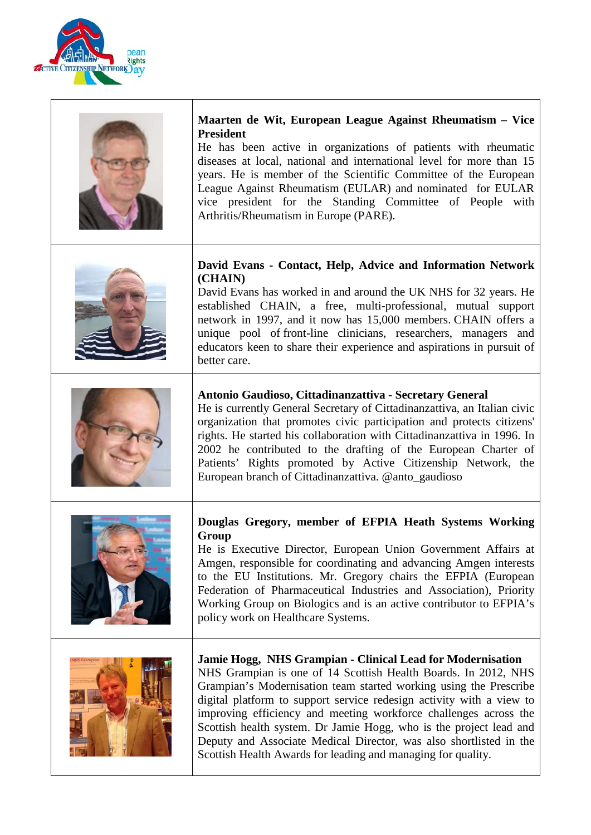

٦

 $\mathsf{r}$ 

| Maarten de Wit, European League Against Rheumatism - Vice<br><b>President</b><br>He has been active in organizations of patients with rheumatic<br>diseases at local, national and international level for more than 15<br>years. He is member of the Scientific Committee of the European<br>League Against Rheumatism (EULAR) and nominated for EULAR<br>vice president for the Standing Committee of People with<br>Arthritis/Rheumatism in Europe (PARE).                                                                                             |
|-----------------------------------------------------------------------------------------------------------------------------------------------------------------------------------------------------------------------------------------------------------------------------------------------------------------------------------------------------------------------------------------------------------------------------------------------------------------------------------------------------------------------------------------------------------|
| David Evans - Contact, Help, Advice and Information Network<br>(CHAIN)<br>David Evans has worked in and around the UK NHS for 32 years. He<br>established CHAIN, a free, multi-professional, mutual support<br>network in 1997, and it now has 15,000 members. CHAIN offers a<br>unique pool of front-line clinicians, researchers, managers and<br>educators keen to share their experience and aspirations in pursuit of<br>better care.                                                                                                                |
| Antonio Gaudioso, Cittadinanzattiva - Secretary General<br>He is currently General Secretary of Cittadinanzattiva, an Italian civic<br>organization that promotes civic participation and protects citizens'<br>rights. He started his collaboration with Cittadinanzattiva in 1996. In<br>2002 he contributed to the drafting of the European Charter of<br>Patients' Rights promoted by Active Citizenship Network, the<br>European branch of Cittadinanzattiva. @anto_gaudioso                                                                         |
| Douglas Gregory, member of EFPIA Heath Systems Working<br>Group<br>He is Executive Director, European Union Government Affairs at<br>Amgen, responsible for coordinating and advancing Amgen interests<br>to the EU Institutions. Mr. Gregory chairs the EFPIA (European<br>Federation of Pharmaceutical Industries and Association), Priority<br>Working Group on Biologics and is an active contributor to EFPIA's<br>policy work on Healthcare Systems.                                                                                                |
| Jamie Hogg, NHS Grampian - Clinical Lead for Modernisation<br>NHS Grampian is one of 14 Scottish Health Boards. In 2012, NHS<br>Grampian's Modernisation team started working using the Prescribe<br>digital platform to support service redesign activity with a view to<br>improving efficiency and meeting workforce challenges across the<br>Scottish health system. Dr Jamie Hogg, who is the project lead and<br>Deputy and Associate Medical Director, was also shortlisted in the<br>Scottish Health Awards for leading and managing for quality. |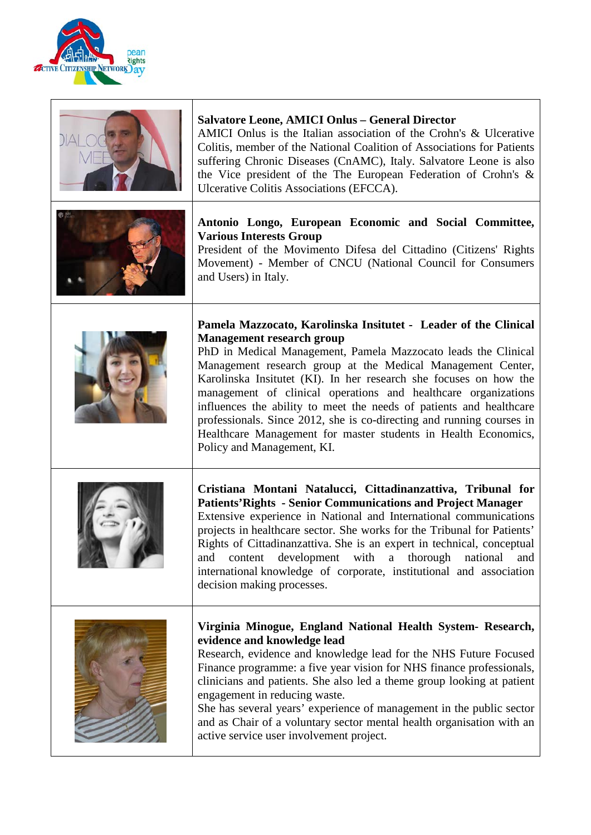

| <b>Salvatore Leone, AMICI Onlus - General Director</b><br>AMICI Onlus is the Italian association of the Crohn's & Ulcerative<br>Colitis, member of the National Coalition of Associations for Patients<br>suffering Chronic Diseases (CnAMC), Italy. Salvatore Leone is also<br>the Vice president of the The European Federation of Crohn's &<br>Ulcerative Colitis Associations (EFCCA).                                                                                                                                                                                                                                  |
|-----------------------------------------------------------------------------------------------------------------------------------------------------------------------------------------------------------------------------------------------------------------------------------------------------------------------------------------------------------------------------------------------------------------------------------------------------------------------------------------------------------------------------------------------------------------------------------------------------------------------------|
| Antonio Longo, European Economic and Social Committee,<br><b>Various Interests Group</b><br>President of the Movimento Difesa del Cittadino (Citizens' Rights<br>Movement) - Member of CNCU (National Council for Consumers<br>and Users) in Italy.                                                                                                                                                                                                                                                                                                                                                                         |
| Pamela Mazzocato, Karolinska Insitutet - Leader of the Clinical<br><b>Management research group</b><br>PhD in Medical Management, Pamela Mazzocato leads the Clinical<br>Management research group at the Medical Management Center,<br>Karolinska Insitutet (KI). In her research she focuses on how the<br>management of clinical operations and healthcare organizations<br>influences the ability to meet the needs of patients and healthcare<br>professionals. Since 2012, she is co-directing and running courses in<br>Healthcare Management for master students in Health Economics,<br>Policy and Management, KI. |
| Cristiana Montani Natalucci, Cittadinanzattiva, Tribunal for<br><b>Patients'Rights - Senior Communications and Project Manager</b><br>Extensive experience in National and International communications<br>projects in healthcare sector. She works for the Tribunal for Patients'<br>Rights of Cittadinanzattiva. She is an expert in technical, conceptual<br>and content development with a thorough national<br>and<br>international knowledge of corporate, institutional and association<br>decision making processes.                                                                                                |
| Virginia Minogue, England National Health System- Research,<br>evidence and knowledge lead<br>Research, evidence and knowledge lead for the NHS Future Focused<br>Finance programme: a five year vision for NHS finance professionals,<br>clinicians and patients. She also led a theme group looking at patient<br>engagement in reducing waste.<br>She has several years' experience of management in the public sector<br>and as Chair of a voluntary sector mental health organisation with an<br>active service user involvement project.                                                                              |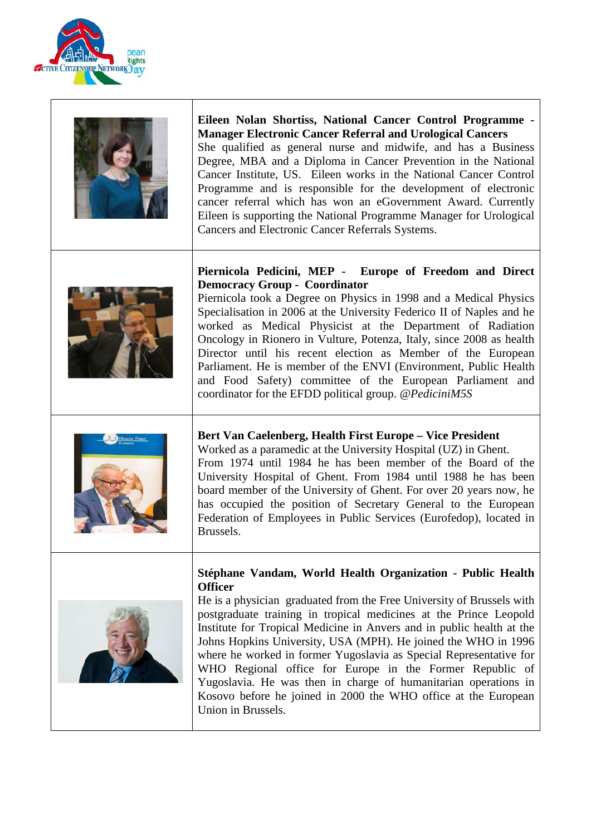

| Eileen Nolan Shortiss, National Cancer Control Programme -<br><b>Manager Electronic Cancer Referral and Urological Cancers</b><br>She qualified as general nurse and midwife, and has a Business<br>Degree, MBA and a Diploma in Cancer Prevention in the National<br>Cancer Institute, US. Eileen works in the National Cancer Control<br>Programme and is responsible for the development of electronic<br>cancer referral which has won an eGovernment Award. Currently<br>Eileen is supporting the National Programme Manager for Urological<br>Cancers and Electronic Cancer Referrals Systems.                                                               |
|--------------------------------------------------------------------------------------------------------------------------------------------------------------------------------------------------------------------------------------------------------------------------------------------------------------------------------------------------------------------------------------------------------------------------------------------------------------------------------------------------------------------------------------------------------------------------------------------------------------------------------------------------------------------|
| Piernicola Pedicini, MEP - Europe of Freedom and Direct<br><b>Democracy Group - Coordinator</b><br>Piernicola took a Degree on Physics in 1998 and a Medical Physics<br>Specialisation in 2006 at the University Federico II of Naples and he<br>worked as Medical Physicist at the Department of Radiation<br>Oncology in Rionero in Vulture, Potenza, Italy, since 2008 as health<br>Director until his recent election as Member of the European<br>Parliament. He is member of the ENVI (Environment, Public Health<br>and Food Safety) committee of the European Parliament and<br>coordinator for the EFDD political group. @ PediciniM5S                    |
| Bert Van Caelenberg, Health First Europe - Vice President<br>Worked as a paramedic at the University Hospital (UZ) in Ghent.<br>From 1974 until 1984 he has been member of the Board of the<br>University Hospital of Ghent. From 1984 until 1988 he has been<br>board member of the University of Ghent. For over 20 years now, he<br>has occupied the position of Secretary General to the European<br>Federation of Employees in Public Services (Eurofedop), located in<br>Brussels.                                                                                                                                                                           |
| Stéphane Vandam, World Health Organization - Public Health<br><b>Officer</b><br>He is a physician graduated from the Free University of Brussels with<br>postgraduate training in tropical medicines at the Prince Leopold<br>Institute for Tropical Medicine in Anvers and in public health at the<br>Johns Hopkins University, USA (MPH). He joined the WHO in 1996<br>where he worked in former Yugoslavia as Special Representative for<br>WHO Regional office for Europe in the Former Republic of<br>Yugoslavia. He was then in charge of humanitarian operations in<br>Kosovo before he joined in 2000 the WHO office at the European<br>Union in Brussels. |